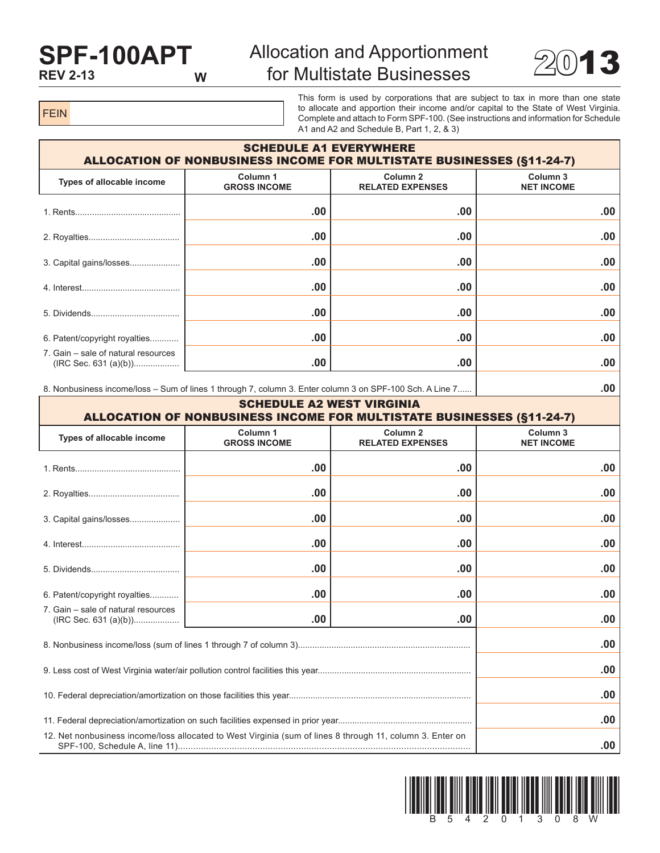## **SPF-100APT REV 2-13**

## Allocation and Apportionment for Multistate Businesses  $2013$



FEIN

This form is used by corporations that are subject to tax in more than one state to allocate and apportion their income and/or capital to the State of West Virginia. Complete and attach to Form SPF-100. (See instructions and information for Schedule A1 and A2 and Schedule B, Part 1, 2, & 3)

| <b>SCHEDULE A1 EVERYWHERE</b><br><b>ALLOCATION OF NONBUSINESS INCOME FOR MULTISTATE BUSINESSES (§11-24-7)</b> |                                 |                                                |                                          |  |  |  |  |
|---------------------------------------------------------------------------------------------------------------|---------------------------------|------------------------------------------------|------------------------------------------|--|--|--|--|
| Types of allocable income                                                                                     | Column 1<br><b>GROSS INCOME</b> | Column <sub>2</sub><br><b>RELATED EXPENSES</b> | Column <sub>3</sub><br><b>NET INCOME</b> |  |  |  |  |
|                                                                                                               | .00.                            | .00                                            | .00                                      |  |  |  |  |
|                                                                                                               | .00.                            | .00                                            | .00                                      |  |  |  |  |
| 3. Capital gains/losses                                                                                       | .00.                            | .00                                            | .00                                      |  |  |  |  |
|                                                                                                               | .00.                            | .00                                            | .00                                      |  |  |  |  |
|                                                                                                               | .00.                            | .00                                            | .00                                      |  |  |  |  |
| 6. Patent/copyright royalties                                                                                 | .00.                            | .00                                            | .00                                      |  |  |  |  |
| 7. Gain – sale of natural resources                                                                           | .00                             | .00                                            | .00                                      |  |  |  |  |
|                                                                                                               |                                 |                                                |                                          |  |  |  |  |

8. Nonbusiness income/loss – Sum of lines 1 through 7, column 3. Enter column 3 on SPF-100 Sch. A Line 7...... **.00**

| <b>SCHEDULE A2 WEST VIRGINIA</b><br><b>ALLOCATION OF NONBUSINESS INCOME FOR MULTISTATE BUSINESSES (§11-24-7)</b> |                                            |                                                |                               |  |  |  |  |
|------------------------------------------------------------------------------------------------------------------|--------------------------------------------|------------------------------------------------|-------------------------------|--|--|--|--|
| Types of allocable income                                                                                        | Column <sub>1</sub><br><b>GROSS INCOME</b> | Column <sub>2</sub><br><b>RELATED EXPENSES</b> | Column 3<br><b>NET INCOME</b> |  |  |  |  |
|                                                                                                                  | .00                                        | .00                                            | .00                           |  |  |  |  |
|                                                                                                                  | .00                                        | .00                                            | .00                           |  |  |  |  |
| 3. Capital gains/losses                                                                                          | .00.                                       | .00                                            | .00                           |  |  |  |  |
|                                                                                                                  | .00                                        | .00                                            | .00                           |  |  |  |  |
|                                                                                                                  | .00.                                       | .00                                            | .00                           |  |  |  |  |
| 6. Patent/copyright royalties                                                                                    | .00                                        | .00                                            | .00                           |  |  |  |  |
| 7. Gain – sale of natural resources                                                                              | .00.                                       | .00                                            | .00                           |  |  |  |  |
|                                                                                                                  | .00                                        |                                                |                               |  |  |  |  |
|                                                                                                                  | .00                                        |                                                |                               |  |  |  |  |
|                                                                                                                  | .00                                        |                                                |                               |  |  |  |  |
|                                                                                                                  | .00                                        |                                                |                               |  |  |  |  |
| 12. Net nonbusiness income/loss allocated to West Virginia (sum of lines 8 through 11, column 3. Enter on        |                                            |                                                | .00                           |  |  |  |  |